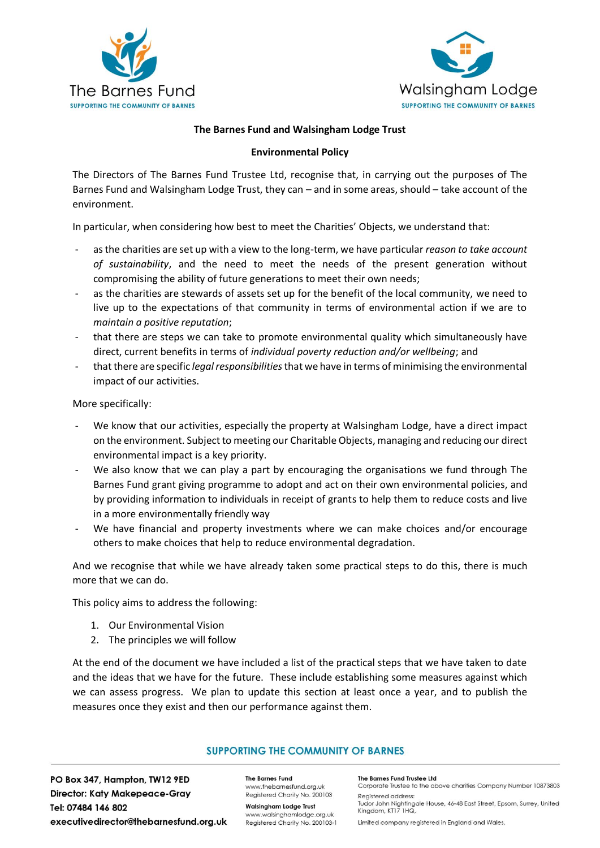



### **The Barnes Fund and Walsingham Lodge Trust**

#### **Environmental Policy**

The Directors of The Barnes Fund Trustee Ltd, recognise that, in carrying out the purposes of The Barnes Fund and Walsingham Lodge Trust, they can – and in some areas, should – take account of the environment.

In particular, when considering how best to meet the Charities' Objects, we understand that:

- as the charities are set up with a view to the long-term, we have particular *reason to take account of sustainability*, and the need to meet the needs of the present generation without compromising the ability of future generations to meet their own needs;
- as the charities are stewards of assets set up for the benefit of the local community, we need to live up to the expectations of that community in terms of environmental action if we are to *maintain a positive reputation*;
- that there are steps we can take to promote environmental quality which simultaneously have direct, current benefits in terms of *individual poverty reduction and/or wellbeing*; and
- that there are specific *legal responsibilities*that we have in terms of minimising the environmental impact of our activities.

More specifically:

- We know that our activities, especially the property at Walsingham Lodge, have a direct impact on the environment. Subject to meeting our Charitable Objects, managing and reducing our direct environmental impact is a key priority.
- We also know that we can play a part by encouraging the organisations we fund through The Barnes Fund grant giving programme to adopt and act on their own environmental policies, and by providing information to individuals in receipt of grants to help them to reduce costs and live in a more environmentally friendly way
- We have financial and property investments where we can make choices and/or encourage others to make choices that help to reduce environmental degradation.

And we recognise that while we have already taken some practical steps to do this, there is much more that we can do.

This policy aims to address the following:

- 1. Our Environmental Vision
- 2. The principles we will follow

At the end of the document we have included a list of the practical steps that we have taken to date and the ideas that we have for the future. These include establishing some measures against which we can assess progress. We plan to update this section at least once a year, and to publish the measures once they exist and then our performance against them.

### **SUPPORTING THE COMMUNITY OF BARNES**

PO Box 347, Hampton, TW12 9ED **Director: Katy Makepeace-Gray** Tel: 07484 146 802 executivedirector@thebarnesfund.org.uk

**The Barnes Fund** www.thebarnesfund.org.uk Registered Charity No. 200103

**Walsingham Lodge Trust** www.walsinghamlodge.org.uk Registered Charity No. 200103-1 The Barnes Fund Trustee Ltd Corporate Trustee to the above charities Company Number 10873803

Registered address: Tudor John Nightingale House, 46-48 East Street, Epsom, Surrey, United Kingdom, KT17 1HQ,

Limited company registered in England and Wales.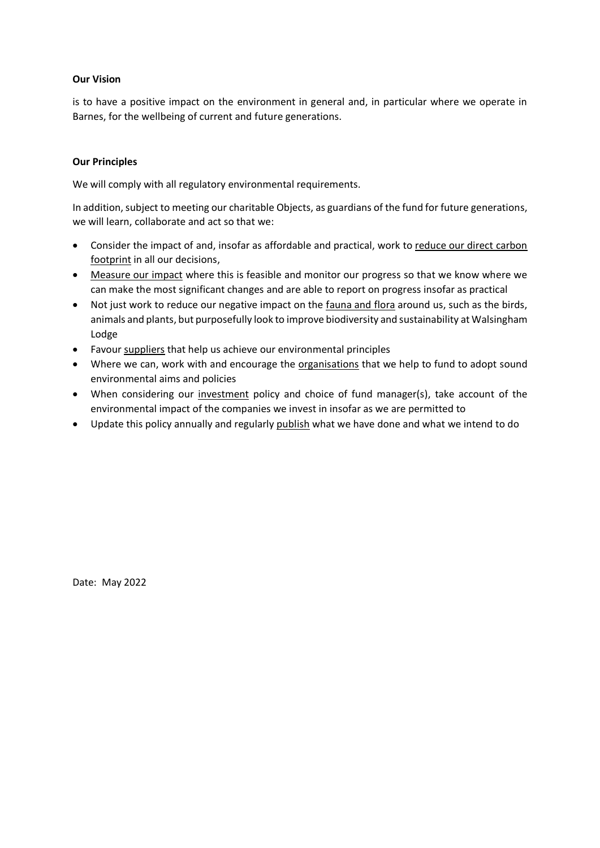### **Our Vision**

is to have a positive impact on the environment in general and, in particular where we operate in Barnes, for the wellbeing of current and future generations.

# **Our Principles**

We will comply with all regulatory environmental requirements.

In addition, subject to meeting our charitable Objects, as guardians of the fund for future generations, we will learn, collaborate and act so that we:

- Consider the impact of and, insofar as affordable and practical, work to reduce our direct carbon footprint in all our decisions,
- Measure our impact where this is feasible and monitor our progress so that we know where we can make the most significant changes and are able to report on progress insofar as practical
- Not just work to reduce our negative impact on the fauna and flora around us, such as the birds, animals and plants, but purposefully look to improve biodiversity and sustainability at Walsingham Lodge
- Favour suppliers that help us achieve our environmental principles
- Where we can, work with and encourage the organisations that we help to fund to adopt sound environmental aims and policies
- When considering our investment policy and choice of fund manager(s), take account of the environmental impact of the companies we invest in insofar as we are permitted to
- Update this policy annually and regularly publish what we have done and what we intend to do

Date: May 2022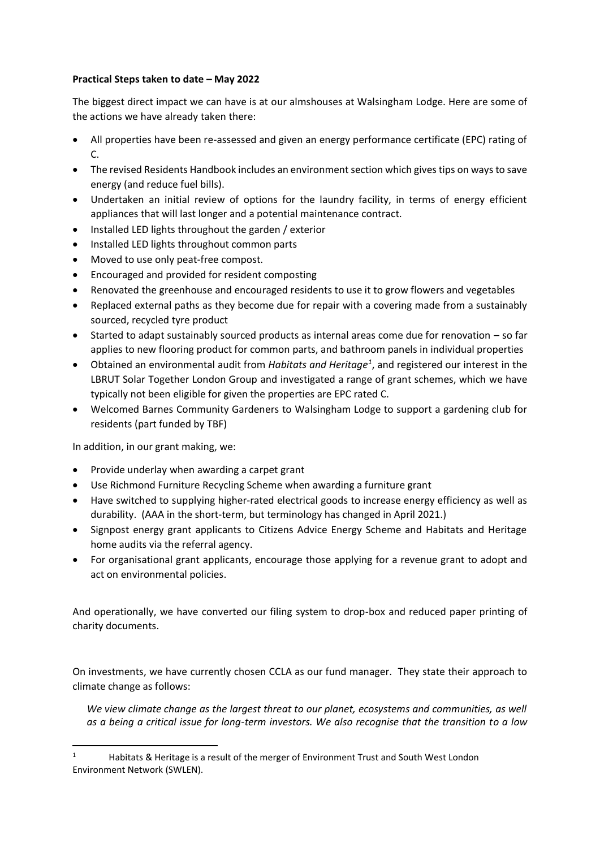# **Practical Steps taken to date – May 2022**

The biggest direct impact we can have is at our almshouses at Walsingham Lodge. Here are some of the actions we have already taken there:

- All properties have been re-assessed and given an energy performance certificate (EPC) rating of  $C<sub>1</sub>$
- The revised Residents Handbook includes an environment section which gives tips on ways to save energy (and reduce fuel bills).
- Undertaken an initial review of options for the laundry facility, in terms of energy efficient appliances that will last longer and a potential maintenance contract.
- Installed LED lights throughout the garden / exterior
- Installed LED lights throughout common parts
- Moved to use only peat-free compost.
- Encouraged and provided for resident composting
- Renovated the greenhouse and encouraged residents to use it to grow flowers and vegetables
- Replaced external paths as they become due for repair with a covering made from a sustainably sourced, recycled tyre product
- Started to adapt sustainably sourced products as internal areas come due for renovation so far applies to new flooring product for common parts, and bathroom panels in individual properties
- Obtained an environmental audit from *Habitats and Heritage<sup>1</sup>* , and registered our interest in the LBRUT Solar Together London Group and investigated a range of grant schemes, which we have typically not been eligible for given the properties are EPC rated C.
- Welcomed Barnes Community Gardeners to Walsingham Lodge to support a gardening club for residents (part funded by TBF)

In addition, in our grant making, we:

- Provide underlay when awarding a carpet grant
- Use Richmond Furniture Recycling Scheme when awarding a furniture grant
- Have switched to supplying higher-rated electrical goods to increase energy efficiency as well as durability. (AAA in the short-term, but terminology has changed in April 2021.)
- Signpost energy grant applicants to Citizens Advice Energy Scheme and Habitats and Heritage home audits via the referral agency.
- For organisational grant applicants, encourage those applying for a revenue grant to adopt and act on environmental policies.

And operationally, we have converted our filing system to drop-box and reduced paper printing of charity documents.

On investments, we have currently chosen CCLA as our fund manager. They state their approach to climate change as follows:

*We view climate change as the largest threat to our planet, ecosystems and communities, as well as a being a critical issue for long-term investors. We also recognise that the transition to a low* 

<sup>&</sup>lt;sup>1</sup> Habitats & Heritage is a result of the merger of Environment Trust and South West London Environment Network (SWLEN).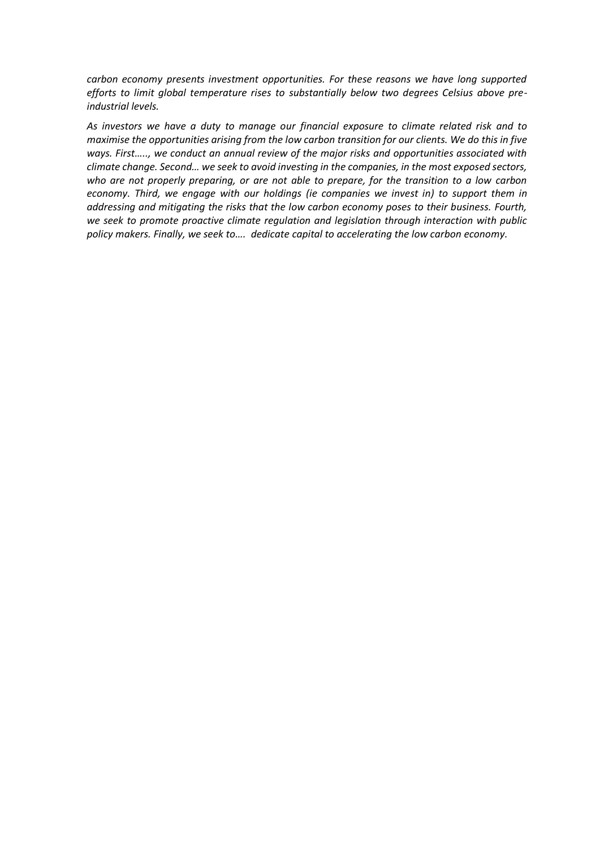*carbon economy presents investment opportunities. For these reasons we have long supported efforts to limit global temperature rises to substantially below two degrees Celsius above preindustrial levels.*

*As investors we have a duty to manage our financial exposure to climate related risk and to maximise the opportunities arising from the low carbon transition for our clients. We do this in five ways. First….., we conduct an annual review of the major risks and opportunities associated with climate change. Second… we seek to avoid investing in the companies, in the most exposed sectors, who are not properly preparing, or are not able to prepare, for the transition to a low carbon economy. Third, we engage with our holdings (ie companies we invest in) to support them in addressing and mitigating the risks that the low carbon economy poses to their business. Fourth, we seek to promote proactive climate regulation and legislation through interaction with public policy makers. Finally, we seek to…. dedicate capital to accelerating the low carbon economy.*